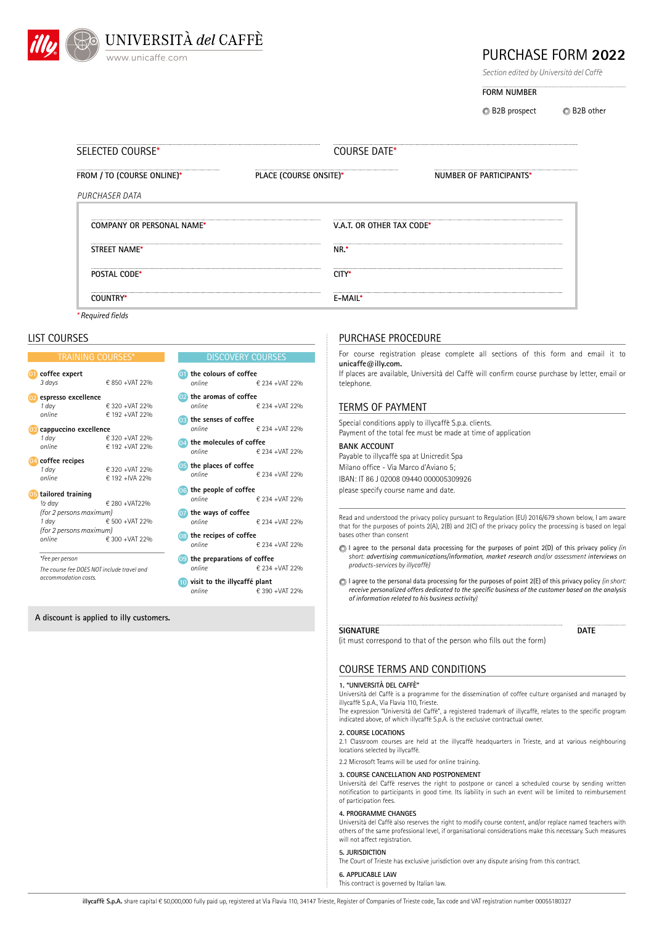

# PURCHASE FORM **2022**

*Section edited by Università del Caffè*

**FORM NUMBER**

**B2B** prospect B2B other

| SELECTED COURSE*           | COURSE DATE*              |                         |
|----------------------------|---------------------------|-------------------------|
| FROM / TO (COURSE ONLINE)* | PLACE (COURSE ONSITE)*    | NUMBER OF PARTICIPANTS* |
| PURCHASER DATA             |                           |                         |
| COMPANY OR PERSONAL NAME*  | V.A.T. OR OTHER TAX CODE* |                         |
| STREET NAME*               | NR.*                      |                         |
| <b>POSTAL CODE*</b>        | CITY*                     |                         |
| COUNTRY*                   | <b>F-MAIL*</b>            |                         |

*\* Required fields*

## LIST COURSES

#### DISCOVERY COURSES **the colours of coffee 01** *online* € 234 +VAT 22% **the aromas of coffee 02** *online* € 234 +VAT 22% **the people of coffee**<br>online **the senses of coffee** *online* € 234 +VAT 22% **the ways of coffee 07** *online* € 234 +VAT 22% **the molecules of coffee 04** *online* € 234 +VAT 22% **the recipes of coffee** *online* € 234 +VAT 22% **the places of coffee**<br>online **the preparations of coffee 09** *online* € 234 +VAT 22% **visit to the illycaffé plant 10** *online* € 390 +VAT 22% **06 08** TRAINING COURSES\* **espresso excellence 02** 1 day<br> *6* 320 +VAT 22%<br> **6** 192 +VAT 22% *online* € 192 +VAT 22% **cappuccino excellence 03** 1 day<br> *e* 320 +VAT 22%<br> *e* 192 +VAT 22% *online* € 192 +VAT 22% **coffee recipes 04** 1 day<br> **€ 320 +VAT 22%**<br> **€ 192 +IVA 22%** *online* € 192 +IVA 22% **tailored training 05** *½ day* € 280 +VAT22% *(for 2 persons maximum) 1 day* € 500 +VAT 22% *(for 2 persons maximum) online* € 300 +VAT 22% **coffee expert 01** *3 days* € 850 +VAT 22% *\*Fee per person The course fee DOES NOT include travel and accommodation costs.*

## **A discount is applied to illy customers.**

## PURCHASE PROCEDURE

For course registration please complete all sections of this form and email it to **unicaffe@illy.com.**

If places are available, Università del Caffè will confirm course purchase by letter, email or telephone.

## TERMS OF PAYMENT

Special conditions apply to illycaffè S.p.a. clients. Payment of the total fee must be made at time of application

**BANK ACCOUNT** Payable to illycaffè spa at Unicredit Spa Milano office - Via Marco d'Aviano 5; IBAN: IT 86 J 02008 09440 000005309926 please specify course name and date.

Read and understood the privacy policy pursuant to Regulation (EU) 2016/679 shown below, I am aware that for the purposes of points 2(A), 2(B) and 2(C) of the privacy policy the processing is based on legal bases other than consent

- I agree to the personal data processing for the purposes of point 2(D) of this privacy policy *(in short: advertising communications/information, market research and/or assessment interviews on products-services by illycaffè)*
- I agree to the personal data processing for the purposes of point 2(E) of this privacy policy *(in short: receive personalized offers dedicated to the specific business of the customer based on the analysis of information related to his business activity)*

## **SIGNATURE**

*online* € 234 +VAT 22%

*online* € 234 +VAT 22%

**DATE**

(it must correspond to that of the person who fills out the form)

## COURSE TERMS AND CONDITIONS

### **1. "UNIVERSITÀ DEL CAFFÈ"**

Università del Caffè is a programme for the dissemination of coffee culture organised and managed by illycaffè S.p.A., Via Flavia 110, Trieste.

The expression "Università del Caffè", a registered trademark of illycaffè, relates to the specific program indicated above, of which illycaffè S.p.A. is the exclusive contractual owner.

### **2. COURSE LOCATIONS**

2.1 Classroom courses are held at the illycaffè headquarters in Trieste, and at various neighbouring locations selected by illycaffè.

2.2 Microsoft Teams will be used for online training.

## **3. COURSE CANCELLATION AND POSTPONEMENT**

Università del Caffè reserves the right to postpone or cancel a scheduled course by sending written notification to participants in good time. Its liability in such an event will be limited to reimbursement of participation fees.

### **4. PROGRAMME CHANGES**

Università del Caffè also reserves the right to modify course content, and/or replace named teachers with others of the same professional level, if organisational considerations make this necessary. Such measures will not affect registration.

## **5. JURISDICTION**

The Court of Trieste has exclusive jurisdiction over any dispute arising from this contract.

**6. APPLICABLE LAW** This contract is governed by Italian law.